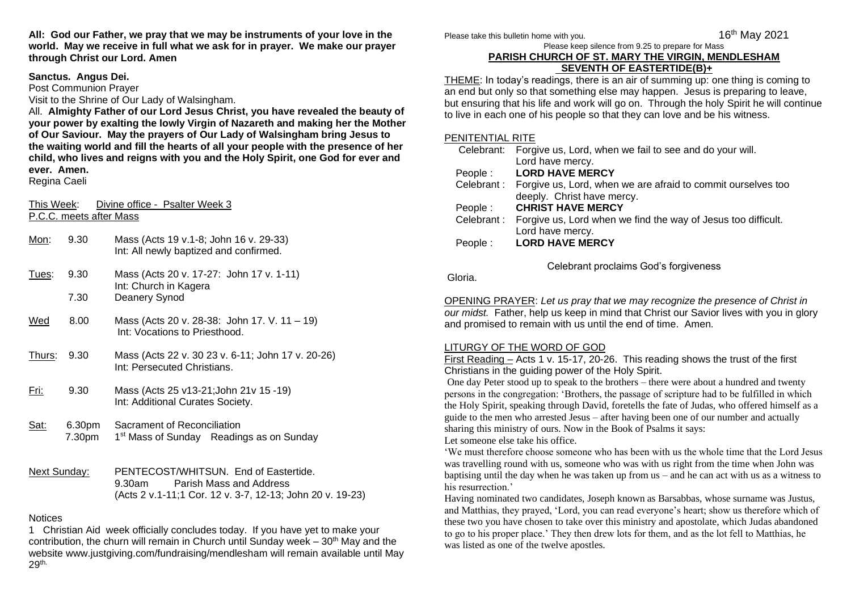**All: God our Father, we pray that we may be instruments of your love in the world. May we receive in full what we ask for in prayer. We make our prayer through Christ our Lord. Amen**

### **Sanctus. Angus Dei.**

Post Communion Prayer Visit to the Shrine of Our Lady of Walsingham.

All. **Almighty Father of our Lord Jesus Christ, you have revealed the beauty of your power by exalting the lowly Virgin of Nazareth and making her the Mother of Our Saviour. May the prayers of Our Lady of Walsingham bring Jesus to the waiting world and fill the hearts of all your people with the presence of her child, who lives and reigns with you and the Holy Spirit, one God for ever and ever. Amen.**

Regina Caeli

This Week: Divine office - Psalter Week 3 P.C.C. meets after Mass

| Mon:          | 9.30             | Mass (Acts 19 v.1-8; John 16 v. 29-33)<br>Int: All newly baptized and confirmed.    |
|---------------|------------------|-------------------------------------------------------------------------------------|
| <u>Tues:</u>  | 9.30             | Mass (Acts 20 v. 17-27: John 17 v. 1-11)<br>Int: Church in Kagera                   |
|               | 7.30             | Deanery Synod                                                                       |
| Wed           | 8.00             | Mass (Acts 20 v. 28-38: John 17. V. 11 - 19)<br>Int: Vocations to Priesthood.       |
| <u>Thurs:</u> | 9.30             | Mass (Acts 22 v. 30 23 v. 6-11; John 17 v. 20-26)<br>Int: Persecuted Christians.    |
| Fri:          | 9.30             | Mass (Acts 25 v13-21; John 21v 15 -19)<br>Int: Additional Curates Society.          |
| <u>Sat:</u>   | 6.30pm<br>7.30pm | Sacrament of Reconciliation<br>1 <sup>st</sup> Mass of Sunday Readings as on Sunday |
| Next Sunday:  |                  | PENTECOST/WHITSUN. End of Eastertide.<br><b>Property Lines and Address</b>          |

9.30am Parish Mass and Address (Acts 2 v.1-11;1 Cor. 12 v. 3-7, 12-13; John 20 v. 19-23)

## **Notices**

1 Christian Aid week officially concludes today. If you have yet to make your contribution, the churn will remain in Church until Sunday week –  $30<sup>th</sup>$  May and the website www.justgiving.com/fundraising/mendlesham will remain available until May 29th.

Please take this bulletin home with you.

16<sup>th</sup> May 2021

#### Please keep silence from 9.25 to prepare for Mass **PARISH CHURCH OF ST. MARY THE VIRGIN, MENDLESHAM SEVENTH OF EASTERTIDE(B)+**

THEME: In today's readings, there is an air of summing up: one thing is coming to an end but only so that something else may happen. Jesus is preparing to leave, but ensuring that his life and work will go on. Through the holy Spirit he will continue to live in each one of his people so that they can love and be his witness.

### PENITENTIAL RITE

|            | Celebrant: Forgive us, Lord, when we fail to see and do your will.      |
|------------|-------------------------------------------------------------------------|
|            | Lord have mercy.                                                        |
| People:    | <b>LORD HAVE MERCY</b>                                                  |
|            | Celebrant: Forgive us, Lord, when we are afraid to commit ourselves too |
|            | deeply. Christ have mercy.                                              |
| People :   | <b>CHRIST HAVE MERCY</b>                                                |
| Celebrant: | Forgive us, Lord when we find the way of Jesus too difficult.           |
|            | Lord have mercy.                                                        |
| People:    | <b>LORD HAVE MERCY</b>                                                  |
|            |                                                                         |

Celebrant proclaims God's forgiveness

Gloria.

OPENING PRAYER: *Let us pray that we may recognize the presence of Christ in our midst.* Father, help us keep in mind that Christ our Savior lives with you in glory and promised to remain with us until the end of time. Amen.

# LITURGY OF THE WORD OF GOD

First Reading – Acts 1 v. 15-17, 20-26. This reading shows the trust of the first Christians in the guiding power of the Holy Spirit.

One day Peter stood up to speak to the brothers – there were about a hundred and twenty persons in the congregation: 'Brothers, the passage of scripture had to be fulfilled in which the Holy Spirit, speaking through David, foretells the fate of Judas, who offered himself as a guide to the men who arrested Jesus – after having been one of our number and actually sharing this ministry of ours. Now in the Book of Psalms it says:

Let someone else take his office.

'We must therefore choose someone who has been with us the whole time that the Lord Jesus was travelling round with us, someone who was with us right from the time when John was baptising until the day when he was taken up from us – and he can act with us as a witness to his resurrection.'

Having nominated two candidates, Joseph known as Barsabbas, whose surname was Justus, and Matthias, they prayed, 'Lord, you can read everyone's heart; show us therefore which of these two you have chosen to take over this ministry and apostolate, which Judas abandoned to go to his proper place.' They then drew lots for them, and as the lot fell to Matthias, he was listed as one of the twelve apostles.